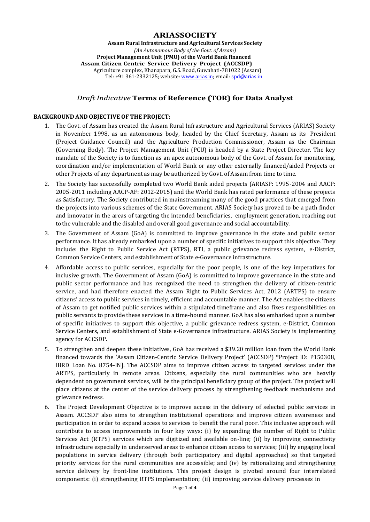# **ARIASSOCIETY**

**Assam Rural Infrastructure and Agricultural Services Society** *(An Autonomous Body of the Govt. of Assam)* **Project Management Unit (PMU) of the World Bank financed Assam Citizen Centric Service Delivery Project (ACCSDP)** Agriculture complex, Khanapara, G.S. Road, Guwahati-781022 (Assam) Tel: +91 361-2332125; website: [www.arias.in;](http://www.arias.in/) email: [spd@arias.in](mailto:spd@arias.in)

## *Draft Indicative* **Terms of Reference (TOR) for Data Analyst**

#### **BACKGROUND AND OBJECTIVE OF THE PROJECT:**

- 1. The Govt. of Assam has created the Assam Rural Infrastructure and Agricultural Services (ARIAS) Society in November 1998, as an autonomous body, headed by the Chief Secretary, Assam as its President (Project Guidance Council) and the Agriculture Production Commissioner, Assam as the Chairman (Governing Body). The Project Management Unit (PCU) is headed by a State Project Director. The key mandate of the Society is to function as an apex autonomous body of the Govt. of Assam for monitoring, coordination and/or implementation of World Bank or any other externally financed/aided Projects or other Projects of any department as may be authorized by Govt. of Assam from time to time.
- 2. The Society has successfully completed two World Bank aided projects (ARIASP: 1995-2004 and AACP: 2005-2011 including AACP-AF: 2012-2015) and the World Bank has rated performance of these projects as Satisfactory. The Society contributed in mainstreaming many of the good practices that emerged from the projects into various schemes of the State Government. ARIAS Society has proved to be a path finder and innovator in the areas of targeting the intended beneficiaries, employment generation, reaching out to the vulnerable and the disabled and overall good governance and social accountability.
- 3. The Government of Assam (GoA) is committed to improve governance in the state and public sector performance. It has already embarked upon a number of specific initiatives to support this objective. They include: the Right to Public Service Act (RTPS), RTI, a public grievance redress system, e-District, Common Service Centers, and establishment of State e-Governance infrastructure.
- 4. Affordable access to public services, especially for the poor people, is one of the key imperatives for inclusive growth. The Government of Assam (GoA) is committed to improve governance in the state and public sector performance and has recognized the need to strengthen the delivery of citizen-centric service, and had therefore enacted the Assam Right to Public Services Act, 2012 (ARTPS) to ensure citizens' access to public services in timely, efficient and accountable manner. The Act enables the citizens of Assam to get notified public services within a stipulated timeframe and also fixes responsibilities on public servants to provide these services in a time-bound manner. GoA has also embarked upon a number of specific initiatives to support this objective, a public grievance redress system, e-District, Common Service Centers, and establishment of State e-Governance infrastructure. ARIAS Society is implementing agency for ACCSDP.
- 5. To strengthen and deepen these initiatives, GoA has received a \$39.20 million loan from the World Bank financed towards the 'Assam Citizen-Centric Service Delivery Project' (ACCSDP) \*Project ID: P150308, IBRD Loan No. 8754-IN]. The ACCSDP aims to improve citizen access to targeted services under the ARTPS, particularly in remote areas. Citizens, especially the rural communities who are heavily dependent on government services, will be the principal beneficiary group of the project. The project will place citizens at the center of the service delivery process by strengthening feedback mechanisms and grievance redress.
- 6. The Project Development Objective is to improve access in the delivery of selected public services in Assam. ACCSDP also aims to strengthen institutional operations and improve citizen awareness and participation in order to expand access to services to benefit the rural poor. This inclusive approach will contribute to access improvements in four key ways: (i) by expanding the number of Right to Public Services Act (RTPS) services which are digitized and available on-line; (ii) by improving connectivity infrastructure especially in underserved areas to enhance citizen access to services; (iii) by engaging local populations in service delivery (through both participatory and digital approaches) so that targeted priority services for the rural communities are accessible; and (iv) by rationalizing and strengthening service delivery by front-line institutions. This project design is pivoted around four interrelated components: (i) strengthening RTPS implementation; (ii) improving service delivery processes in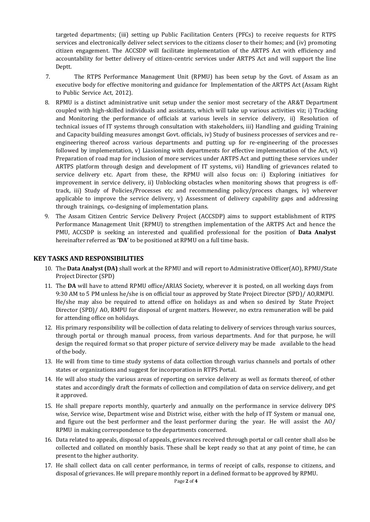targeted departments; (iii) setting up Public Facilitation Centers (PFCs) to receive requests for RTPS services and electronically deliver select services to the citizens closer to their homes; and (iv) promoting citizen engagement. The ACCSDP will facilitate implementation of the ARTPS Act with efficiency and accountability for better delivery of citizen-centric services under ARTPS Act and will support the line Deptt.

- 7. The RTPS Performance Management Unit (RPMU) has been setup by the Govt. of Assam as an executive body for effective monitoring and guidance for Implementation of the ARTPS Act (Assam Right to Public Service Act, 2012).
- 8. RPMU is a distinct administrative unit setup under the senior most secretary of the AR&T Department coupled with high-skilled individuals and assistants, which will take up various activities viz; i) Tracking and Monitoring the performance of officials at various levels in service delivery, ii) Resolution of technical issues of IT systems through consultation with stakeholders, iii) Handling and guiding Training and Capacity building measures amongst Govt. officials, iv) Study of business processes of services and reengineering thereof across various departments and putting up for re-engineering of the processes followed by implementation, v) Liasioning with departments for effective implementation of the Act, vi) Preparation of road map for inclusion of more services under ARTPS Act and putting these services under ARTPS platform through design and development of IT systems, vii) Handling of grievances related to service delivery etc. Apart from these, the RPMU will also focus on: i) Exploring initiatives for improvement in service delivery, ii) Unblocking obstacles when monitoring shows that progress is offtrack, iii) Study of Policies/Processes etc and recommending policy/process changes, iv) wherever applicable to improve the service delivery,  $v$ ) Assessment of delivery capability gaps and addressing through trainings, co-designing of implementation plans.
- 9. The Assam Citizen Centric Service Delivery Project (ACCSDP) aims to support establishment of RTPS Performance Management Unit (RPMU) to strengthen implementation of the ARTPS Act and hence the PMU, ACCSDP is seeking an interested and qualified professional for the position of **Data Analyst** hereinafter referred as **'DA'** to be positioned at RPMU on a full time basis.

## **KEY TASKS AND RESPONSIBILITIES**

- 10. The **Data Analyst (DA)** shall work at the RPMU and will report to Administrative Officer(AO), RPMU/State Project Director (SPD)
- 11. The **DA** will have to attend RPMU office/ARIAS Society, wherever it is posted, on all working days from 9:30 AM to 5 PM unless he/she is on official tour as approved by State Project Director (SPD)/ AO,RMPU. He/she may also be required to attend office on holidays as and when so desired by State Project Director (SPD)/ AO, RMPU for disposal of urgent matters. However, no extra remuneration will be paid for attending office on holidays.
- 12. His primary responsibility will be collection of data relating to delivery of services through varius sources, through portal or through manual process, from various departments. And for that purpose, he will design the required format so that proper picture of service delivery may be made available to the head of the body.
- 13. He will from time to time study systems of data collection through varius channels and portals of other states or organizations and suggest for incorporation in RTPS Portal.
- 14. He will also study the various areas of reporting on service delivery as well as formats thereof, of other states and accordingly draft the formats of collection and compilation of data on service delivery, and get it approved.
- 15. He shall prepare reports monthly, quarterly and annually on the performance in service delivery DPS wise, Service wise, Department wise and District wise, either with the help of IT System or manual one, and figure out the best performer and the least performer during the year. He will assist the AO/ RPMU in making correspondence to the departments concerned.
- 16. Data related to appeals, disposal of appeals, grievances received through portal or call center shall also be collected and collated on monthly basis. These shall be kept ready so that at any point of time, he can present to the higher authority.
- 17. He shall collect data on call center performance, in terms of receipt of calls, response to citizens, and disposal of grievances. He will prepare monthly report in a defined format to be approved by RPMU.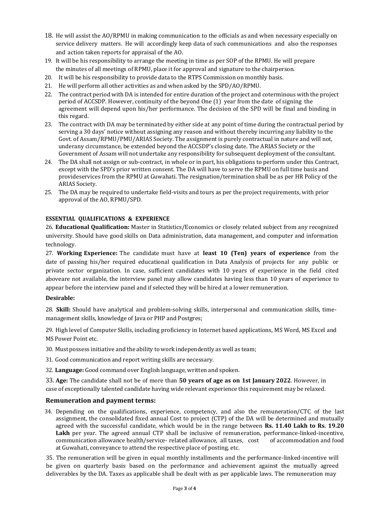- 18. He will assist the AO/RPMU in making communication to the officials as and when necessary especially on service delivery matters. He will accordingly keep data of such communications and also the responses and action taken reports for appraisal of the AO.
- 19. It will be his responsibility to arrange the meeting in time as per SOP of the RPMU. He will prepare the minutes of all meetings of RPMU, place it for approval and signature to the chairperson.
- 20. It will be his responsibility to provide data to the RTPS Commission on monthly basis.
- 21. He will perform all other activities as and when asked by the SPD/AO/RPMU.
- 22. The contract period with DA is intended for entire duration of the project and coterminous with the project period of ACCSDP. However, continuity of the beyond One (1) year from the date of signing the agreement will depend upon his/her performance. The decision of the SPD will be final and binding in this regard.
- 23. The contract with DA may be terminated by either side at any point of time during the contractual period by serving a 30 days' notice without assigning any reason and without thereby incurring any liability to the Govt. of Assam/RPMU/PMU/ARIAS Society. The assignment is purely contractual in nature and will not, underany circumstance, be extended beyond the ACCSDP's closing date. The ARIAS Society or the Government of Assam will not undertake any responsibility for subsequent deployment of the consultant.
- 24. The DA shall not assign or sub-contract, in whole or in part, his obligations to perform under this Contract, except with the SPD's prior written consent. The DA will have to serve the RPMU on full time basis and provideservices from the RPMU at Guwahati. The resignation/termination shall be as per HR Policy of the ARIAS Society.
- 25. The DA may be required to undertake field-visits and tours as per the project requirements, with prior approval of the AO, RPMU/SPD.

## **ESSENTIAL QUALIFICATIONS & EXPERIENCE**

26. **Educational Qualification:** Master in Statistics/Economics or closely related subject from any recognized university. Should have good skills on Data administration, data management, and computer and information technology.

27. **Working Experience:** The candidate must have at **least 10 (Ten) years of experience** from the date of passing his/her required educational qualification in Data Analysis of projects for any public or private sector organization. In case, sufficient candidates with 10 years of experience in the field cited aboveare not available, the interview panel may allow candidates having less than 10 years of experience to appear before the interview panel and if selected they will be hired at a lower remuneration.

## **Desirable:**

28. **Skill:** Should have analytical and problem-solving skills, interpersonal and communication skills, timemanagement skills, knowledge of Java or PHP and Postgres;

29. High level of Computer Skills, including proficiency in Internet based applications, MS Word, MS Excel and MS Power Point etc.

- 30. Must possess initiative and the ability to work independently as well as team;
- 31. Good communication and report writing skills are necessary.
- 32. **Language:** Good command over English language, written and spoken.

33. **Age:** The candidate shall not be of more than **50 years of age as on 1st January 2022**. However, in case of exceptionally talented candidate having wide relevant experience this requirement may be relaxed.

## **Remuneration and payment terms:**

34. Depending on the qualifications, experience, competency, and also the remuneration/CTC of the last assignment, the consolidated fixed annual Cost to project (CTP) of the DA will be determined and mutually agreed with the successful candidate, which would be in the range between **Rs. 11.40 Lakh to Rs. 19.20 Lakh** per year. The agreed annual CTP shall be inclusive of remuneration, performance-linked-incentive, communication allowance health/service- related allowance, all taxes, cost of accommodation and food at Guwahati, conveyance to attend the respective place of posting, etc.

35. The remuneration will be given in equal monthly installments and the performance-linked-incentive will be given on quarterly basis based on the performance and achievement against the mutually agreed deliverables by the DA. Taxes as applicable shall be dealt with as per applicable laws. The remuneration may